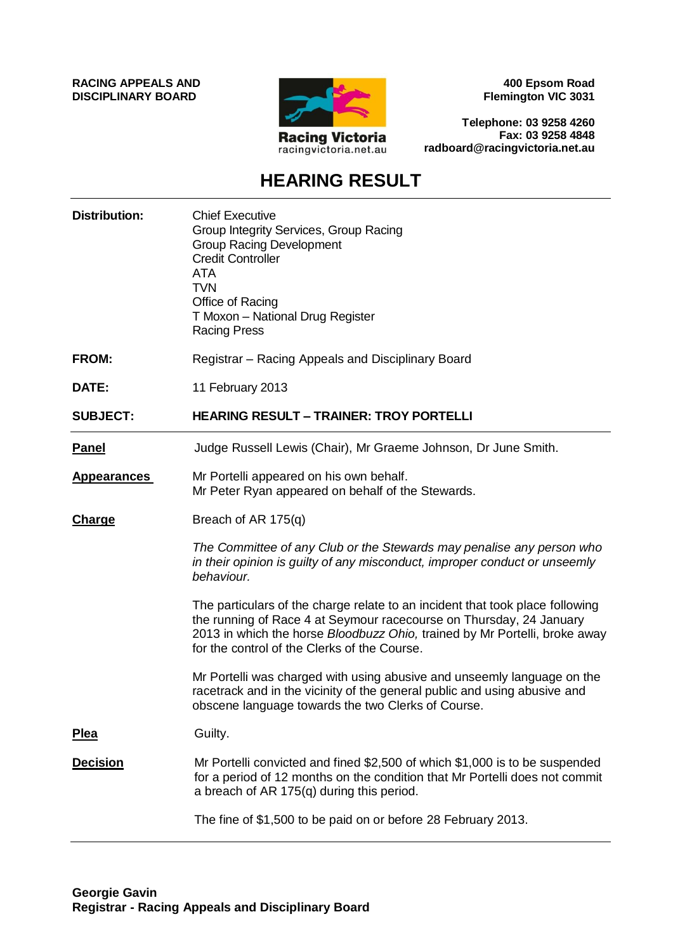**RACING APPEALS AND DISCIPLINARY BOARD**



**400 Epsom Road Flemington VIC 3031**

**Telephone: 03 9258 4260 Fax: 03 9258 4848 radboard@racingvictoria.net.au**

## **HEARING RESULT**

| <b>Distribution:</b> | <b>Chief Executive</b><br>Group Integrity Services, Group Racing<br><b>Group Racing Development</b><br><b>Credit Controller</b><br><b>ATA</b><br><b>TVN</b><br>Office of Racing<br>T Moxon - National Drug Register<br><b>Racing Press</b>                                         |
|----------------------|------------------------------------------------------------------------------------------------------------------------------------------------------------------------------------------------------------------------------------------------------------------------------------|
| <b>FROM:</b>         | Registrar - Racing Appeals and Disciplinary Board                                                                                                                                                                                                                                  |
| DATE:                | 11 February 2013                                                                                                                                                                                                                                                                   |
| <b>SUBJECT:</b>      | <b>HEARING RESULT - TRAINER: TROY PORTELLI</b>                                                                                                                                                                                                                                     |
| <b>Panel</b>         | Judge Russell Lewis (Chair), Mr Graeme Johnson, Dr June Smith.                                                                                                                                                                                                                     |
| <b>Appearances</b>   | Mr Portelli appeared on his own behalf.<br>Mr Peter Ryan appeared on behalf of the Stewards.                                                                                                                                                                                       |
| <b>Charge</b>        | Breach of AR 175(q)                                                                                                                                                                                                                                                                |
|                      | The Committee of any Club or the Stewards may penalise any person who<br>in their opinion is guilty of any misconduct, improper conduct or unseemly<br>behaviour.                                                                                                                  |
|                      | The particulars of the charge relate to an incident that took place following<br>the running of Race 4 at Seymour racecourse on Thursday, 24 January<br>2013 in which the horse Bloodbuzz Ohio, trained by Mr Portelli, broke away<br>for the control of the Clerks of the Course. |
|                      | Mr Portelli was charged with using abusive and unseemly language on the<br>racetrack and in the vicinity of the general public and using abusive and<br>obscene language towards the two Clerks of Course.                                                                         |
| <u>Plea</u>          | Guilty.                                                                                                                                                                                                                                                                            |
| <b>Decision</b>      | Mr Portelli convicted and fined \$2,500 of which \$1,000 is to be suspended<br>for a period of 12 months on the condition that Mr Portelli does not commit<br>a breach of AR 175(q) during this period.                                                                            |
|                      | The fine of \$1,500 to be paid on or before 28 February 2013.                                                                                                                                                                                                                      |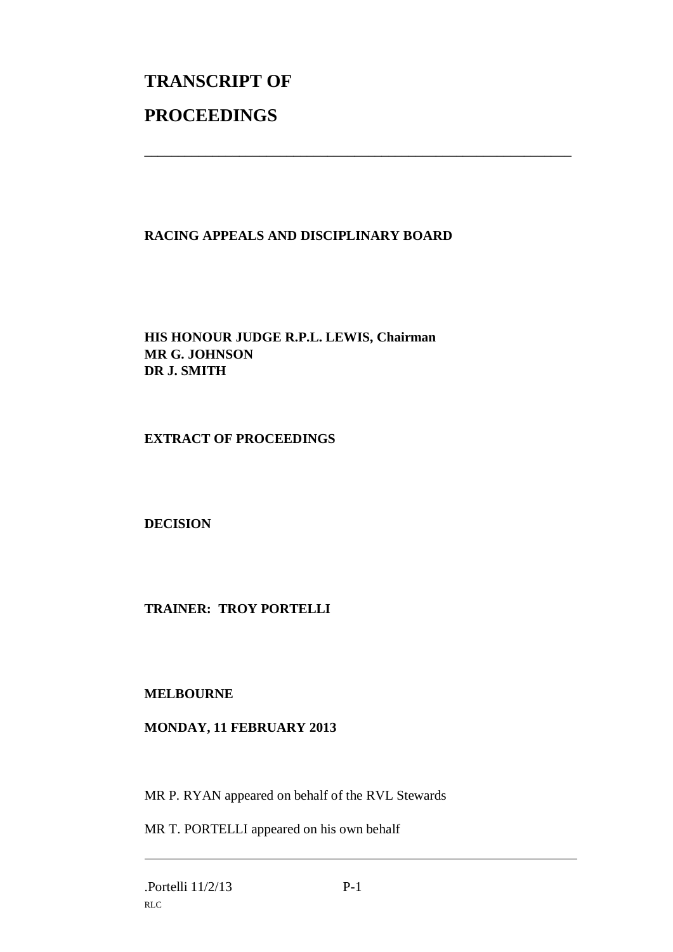# **TRANSCRIPT OF PROCEEDINGS**

### **RACING APPEALS AND DISCIPLINARY BOARD**

\_\_\_\_\_\_\_\_\_\_\_\_\_\_\_\_\_\_\_\_\_\_\_\_\_\_\_\_\_\_\_\_\_\_\_\_\_\_\_\_\_\_\_\_\_\_\_\_\_\_\_\_\_\_\_\_\_\_\_\_\_\_\_

**HIS HONOUR JUDGE R.P.L. LEWIS, Chairman MR G. JOHNSON DR J. SMITH**

#### **EXTRACT OF PROCEEDINGS**

**DECISION**

#### **TRAINER: TROY PORTELLI**

#### **MELBOURNE**

#### **MONDAY, 11 FEBRUARY 2013**

MR P. RYAN appeared on behalf of the RVL Stewards

MR T. PORTELLI appeared on his own behalf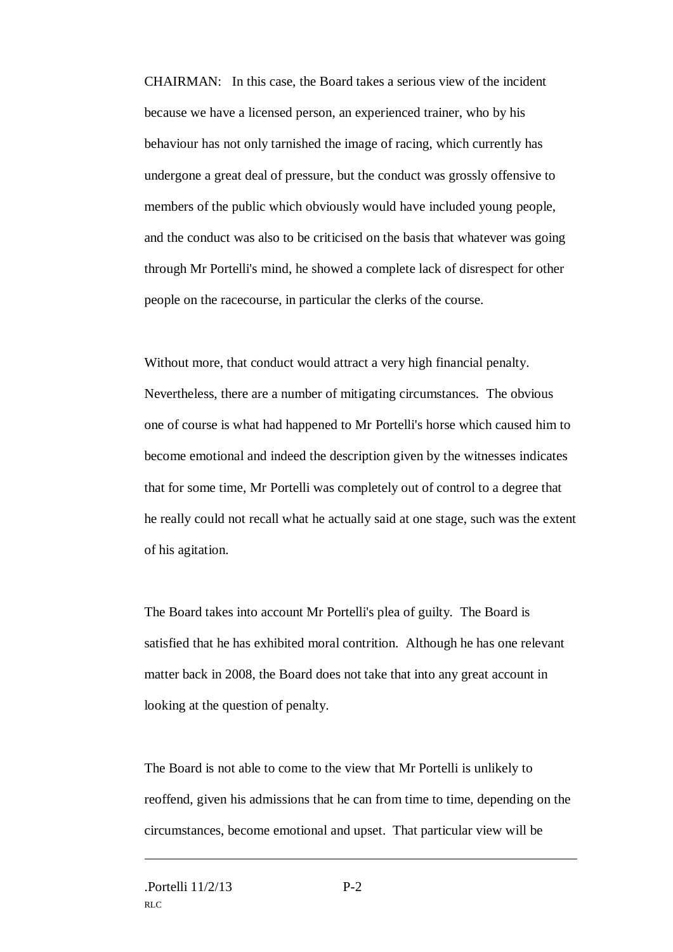CHAIRMAN: In this case, the Board takes a serious view of the incident because we have a licensed person, an experienced trainer, who by his behaviour has not only tarnished the image of racing, which currently has undergone a great deal of pressure, but the conduct was grossly offensive to members of the public which obviously would have included young people, and the conduct was also to be criticised on the basis that whatever was going through Mr Portelli's mind, he showed a complete lack of disrespect for other people on the racecourse, in particular the clerks of the course.

Without more, that conduct would attract a very high financial penalty. Nevertheless, there are a number of mitigating circumstances. The obvious one of course is what had happened to Mr Portelli's horse which caused him to become emotional and indeed the description given by the witnesses indicates that for some time, Mr Portelli was completely out of control to a degree that he really could not recall what he actually said at one stage, such was the extent of his agitation.

The Board takes into account Mr Portelli's plea of guilty. The Board is satisfied that he has exhibited moral contrition. Although he has one relevant matter back in 2008, the Board does not take that into any great account in looking at the question of penalty.

The Board is not able to come to the view that Mr Portelli is unlikely to reoffend, given his admissions that he can from time to time, depending on the circumstances, become emotional and upset. That particular view will be